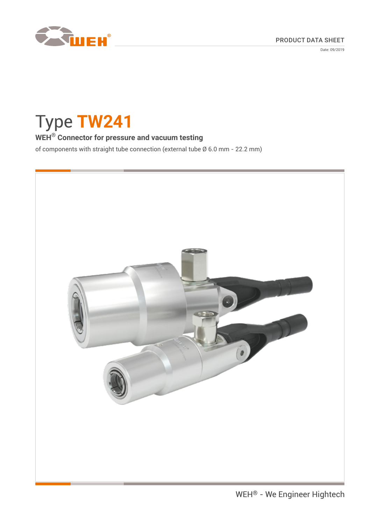

Date: 09/2019

# Type **TW241**

# **WEH® Connector for pressure and vacuum testing**

of components with straight tube connection (external tube Ø 6.0 mm - 22.2 mm)

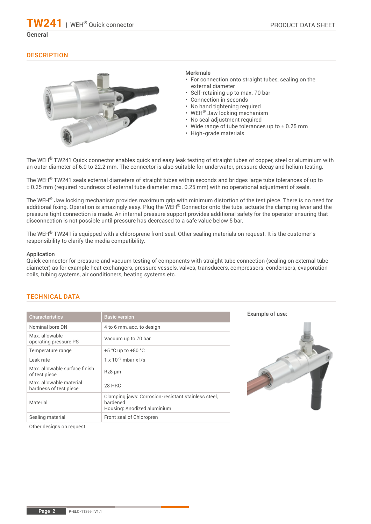**TW241** | WEH® Quick connector

#### General

#### **DESCRIPTION**



#### Merkmale

- For connection onto straight tubes, sealing on the external diameter
- Self-retaining up to max. 70 bar
- Connection in seconds
- No hand tightening required
- WEH® Jaw locking mechanism
- No seal adjustment required
- Wide range of tube tolerances up to ± 0.25 mm
- High-grade materials

The WEH<sup>®</sup> TW241 Quick connector enables quick and easy leak testing of straight tubes of copper, steel or aluminium with an outer diameter of 6.0 to 22.2 mm. The connector is also suitable for underwater, pressure decay and helium testing.

The WEH® TW241 seals external diameters of straight tubes within seconds and bridges large tube tolerances of up to ± 0.25 mm (required roundness of external tube diameter max. 0.25 mm) with no operational adjustment of seals.

The WEH® Jaw locking mechanism provides maximum grip with minimum distortion of the test piece. There is no need for additional fixing. Operation is amazingly easy. Plug the WEH<sup>®</sup> Connector onto the tube, actuate the clamping lever and the pressure tight connection is made. An internal pressure support provides additional safety for the operator ensuring that disconnection is not possible until pressure has decreased to a safe value below 5 bar.

The WEH<sup>®</sup> TW241 is equipped with a chloroprene front seal. Other sealing materials on request. It is the customer's responsibility to clarify the media compatibility.

#### Application

Quick connector for pressure and vacuum testing of components with straight tube connection (sealing on external tube diameter) as for example heat exchangers, pressure vessels, valves, transducers, compressors, condensers, evaporation coils, tubing systems, air conditioners, heating systems etc.

#### TECHNICAL DATA

| <b>Characteristics</b>                           | <b>Basic version</b>                                                                           |
|--------------------------------------------------|------------------------------------------------------------------------------------------------|
| Nominal bore DN                                  | 4 to 6 mm, acc. to design                                                                      |
| Max. allowable<br>operating pressure PS          | Vacuum up to 70 bar                                                                            |
| Temperature range                                | $+5$ °C up to $+80$ °C                                                                         |
| Leak rate                                        | $1 \times 10^{-3}$ mbar x $1/s$                                                                |
| Max, allowable surface finish<br>of test piece   | $Rz8 \mu m$                                                                                    |
| Max allowable material<br>hardness of test piece | <b>28 HRC</b>                                                                                  |
| Material                                         | Clamping jaws: Corrosion-resistant stainless steel,<br>hardened<br>Housing: Anodized aluminium |
| Sealing material                                 | Front seal of Chloropren                                                                       |

Example of use:



Other designs on request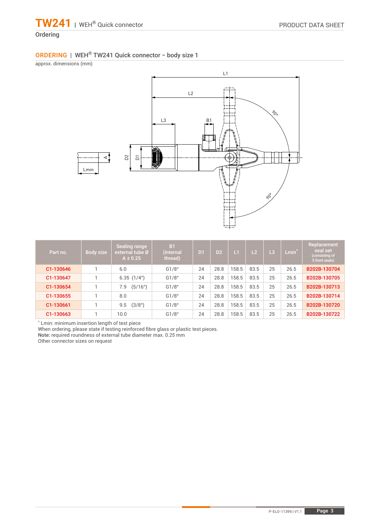# Ordering

## ORDERING | WEH® TW241 Quick connector − body size 1

approx. dimensions (mm)



| Part no.  | Body size | Sealing range<br>external tube Ø<br>$A \pm 0.25$ | <b>B1</b><br>(internal<br>thread) | D <sub>1</sub> | D <sub>2</sub> | L1    | L2   | L <sub>3</sub> | Lmin <sup>*</sup> | Replacement<br>seal set<br>(consisting of<br>5 front seals) |
|-----------|-----------|--------------------------------------------------|-----------------------------------|----------------|----------------|-------|------|----------------|-------------------|-------------------------------------------------------------|
| C1-130646 |           | 6.0                                              | G1/8"                             | 24             | 28.8           | 158.5 | 83.5 | 25             | 26.5              | B202B-130704                                                |
| C1-130647 |           | 6.35(1/4")                                       | G1/8"                             | 24             | 28.8           | 158.5 | 83.5 | 25             | 26.5              | B202B-130705                                                |
| C1-130654 |           | (5/16")<br>7.9                                   | G1/8"                             | 24             | 28.8           | 158.5 | 83.5 | 25             | 26.5              | B202B-130713                                                |
| C1-130655 |           | 8.0                                              | G1/8"                             | 24             | 28.8           | 158.5 | 83.5 | 25             | 26.5              | B202B-130714                                                |
| C1-130661 |           | (3/8 <sup>u</sup> )<br>9.5                       | G1/8"                             | 24             | 28.8           | 158.5 | 83.5 | 25             | 26.5              | B202B-130720                                                |
| C1-130663 |           | 10.0                                             | G1/8"                             | 24             | 28.8           | 158.5 | 83.5 | 25             | 26.5              | B202B-130722                                                |

\* Lmin: minimum insertion length of test piece

When ordering, please state if testing reinforced fibre glass or plastic test pieces.

Note: required roundness of external tube diameter max. 0.25 mm

Other connector sizes on request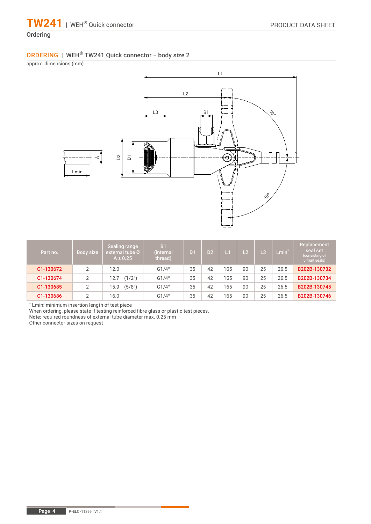# Ordering

# ORDERING | WEH® TW241 Quick connector − body size 2

approx. dimensions (mm)



| Part no.  | Body size | Sealing range<br>external tube Ø<br>$A \pm 0.25$ | <b>B1</b><br>(internal<br>thread) | D <sub>1</sub> | D <sub>2</sub> | L1  | $\overline{2}$ | L3 | $Lmin^*$ | <b>Replacement</b><br>seal set<br>(consisting of<br>5 front seals) |
|-----------|-----------|--------------------------------------------------|-----------------------------------|----------------|----------------|-----|----------------|----|----------|--------------------------------------------------------------------|
| C1-130672 | 2         | 12.0                                             | G1/4"                             | 35             | 42             | 165 | 90             | 25 | 26.5     | B202B-130732                                                       |
| C1-130674 | C         | (1/2 <sup>u</sup> )<br>2.7                       | G1/4"                             | 35             | 42             | 165 | 90             | 25 | 26.5     | B202B-130734                                                       |
| C1-130685 | 2         | (5/8 <sup>u</sup> )<br>15.9                      | G1/4"                             | 35             | 42             | 165 | 90             | 25 | 26.5     | B202B-130745                                                       |
| C1-130686 | C         | 16.0                                             | G1/4"                             | 35             | 42             | 165 | 90             | 25 | 26.5     | B202B-130746                                                       |

\* Lmin: minimum insertion length of test piece

When ordering, please state if testing reinforced fibre glass or plastic test pieces.

Note: required roundness of external tube diameter max. 0.25 mm

Other connector sizes on request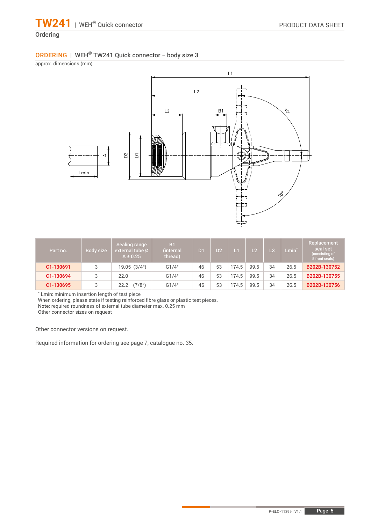# Ordering

# ORDERING | WEH® TW241 Quick connector − body size 3

approx. dimensions (mm)



| Part no.  | Body size | Sealing range<br>external tube Ø<br>$A \pm 0.25$ | B <sub>1</sub><br>(internal<br>thread) | D <sub>1</sub> | D2 | $\mathbf{L}$ | L <sub>2</sub> | Lβ | $Lmin^*$ | Replacement<br>seal set<br>(consisting of<br>5 front seals) |
|-----------|-----------|--------------------------------------------------|----------------------------------------|----------------|----|--------------|----------------|----|----------|-------------------------------------------------------------|
| C1-130691 | 3         | 19.05(3/4")                                      | G1/4"                                  | 46             | 53 | 74.5         | 99.5           | 34 | 26.5     | B202B-130752                                                |
| C1-130694 | 3         | 22.0                                             | G1/4"                                  | 46             | 53 | 74.5         | 99.5           | 34 | 26.5     | B202B-130755                                                |
| C1-130695 | 3         | (7/8 <sup>u</sup> )<br>22.2                      | G1/4"                                  | 46             | 53 | 74.5         | 99.5           | 34 | 26.5     | B202B-130756                                                |

\* Lmin: minimum insertion length of test piece

When ordering, please state if testing reinforced fibre glass or plastic test pieces.

Note: required roundness of external tube diameter max. 0.25 mm

Other connector sizes on request

Other connector versions on request.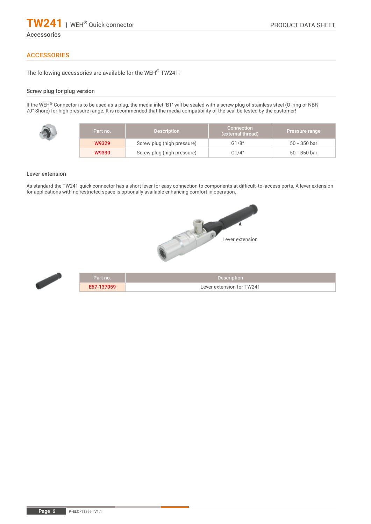

#### Accessories

#### **ACCESSORIES**

The following accessories are available for the WEH® TW241:

#### Screw plug for plug version

If the WEH® Connector is to be used as a plug, the media inlet 'B1' will be sealed with a screw plug of stainless steel (O-ring of NBR 70° Shore) for high pressure range. It is recommended that the media compatibility of the seal be tested by the customer!

| Part no. | <b>Description</b>         | <b>Connection</b><br>(external thread) | Pressure range |
|----------|----------------------------|----------------------------------------|----------------|
| W9329    | Screw plug (high pressure) | G1/8"                                  | 50 - 350 bar   |
| W9330    | Screw plug (high pressure) | G1/4"                                  | 50 - 350 bar   |

#### Lever extension

ť

As standard the TW241 quick connector has a short lever for easy connection to components at difficult-to-access ports. A lever extension for applications with no restricted space is optionally available enhancing comfort in operation.



| Part no. ' | <b>Description</b>        |
|------------|---------------------------|
| E67-137059 | Lever extension for TW241 |